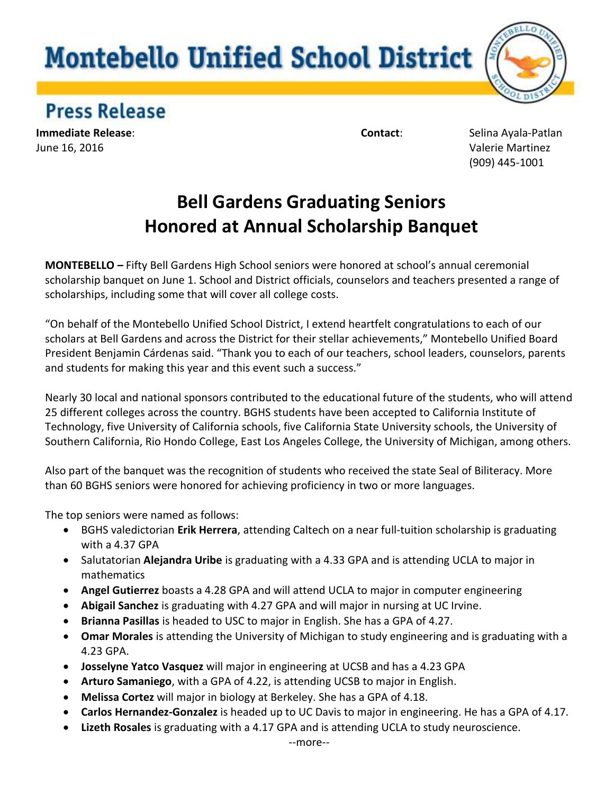# **Montebello Unified School District**



## **Press Release**

**Immediate Release**: **Contact**: Selina Ayala-Patlan June 16, 2016 **Valerie Martinez** 

(909) 445-1001

### **Bell Gardens Graduating Seniors Honored at Annual Scholarship Banquet**

**MONTEBELLO** *–* Fifty Bell Gardens High School seniors were honored at school's annual ceremonial scholarship banquet on June 1. School and District officials, counselors and teachers presented a range of scholarships, including some that will cover all college costs.

"On behalf of the Montebello Unified School District, I extend heartfelt congratulations to each of our scholars at Bell Gardens and across the District for their stellar achievements," Montebello Unified Board President Benjamin Cárdenas said. "Thank you to each of our teachers, school leaders, counselors, parents and students for making this year and this event such a success."

Nearly 30 local and national sponsors contributed to the educational future of the students, who will attend 25 different colleges across the country. BGHS students have been accepted to California Institute of Technology, five University of California schools, five California State University schools, the University of Southern California, Rio Hondo College, East Los Angeles College, the University of Michigan, among others.

Also part of the banquet was the recognition of students who received the state Seal of Biliteracy. More than 60 BGHS seniors were honored for achieving proficiency in two or more languages.

The top seniors were named as follows:

- BGHS valedictorian **Erik Herrera**, attending Caltech on a near full-tuition scholarship is graduating with a 4.37 GPA
- Salutatorian **Alejandra Uribe** is graduating with a 4.33 GPA and is attending UCLA to major in mathematics
- **Angel Gutierrez** boasts a 4.28 GPA and will attend UCLA to major in computer engineering
- **Abigail Sanchez** is graduating with 4.27 GPA and will major in nursing at UC Irvine.
- **Brianna Pasillas** is headed to USC to major in English. She has a GPA of 4.27.
- **Omar Morales** is attending the University of Michigan to study engineering and is graduating with a 4.23 GPA.
- **Josselyne Yatco Vasquez** will major in engineering at UCSB and has a 4.23 GPA
- **Arturo Samaniego**, with a GPA of 4.22, is attending UCSB to major in English.
- **Melissa Cortez** will major in biology at Berkeley. She has a GPA of 4.18.
- **Carlos Hernandez-Gonzalez** is headed up to UC Davis to major in engineering. He has a GPA of 4.17.
- **Lizeth Rosales** is graduating with a 4.17 GPA and is attending UCLA to study neuroscience.